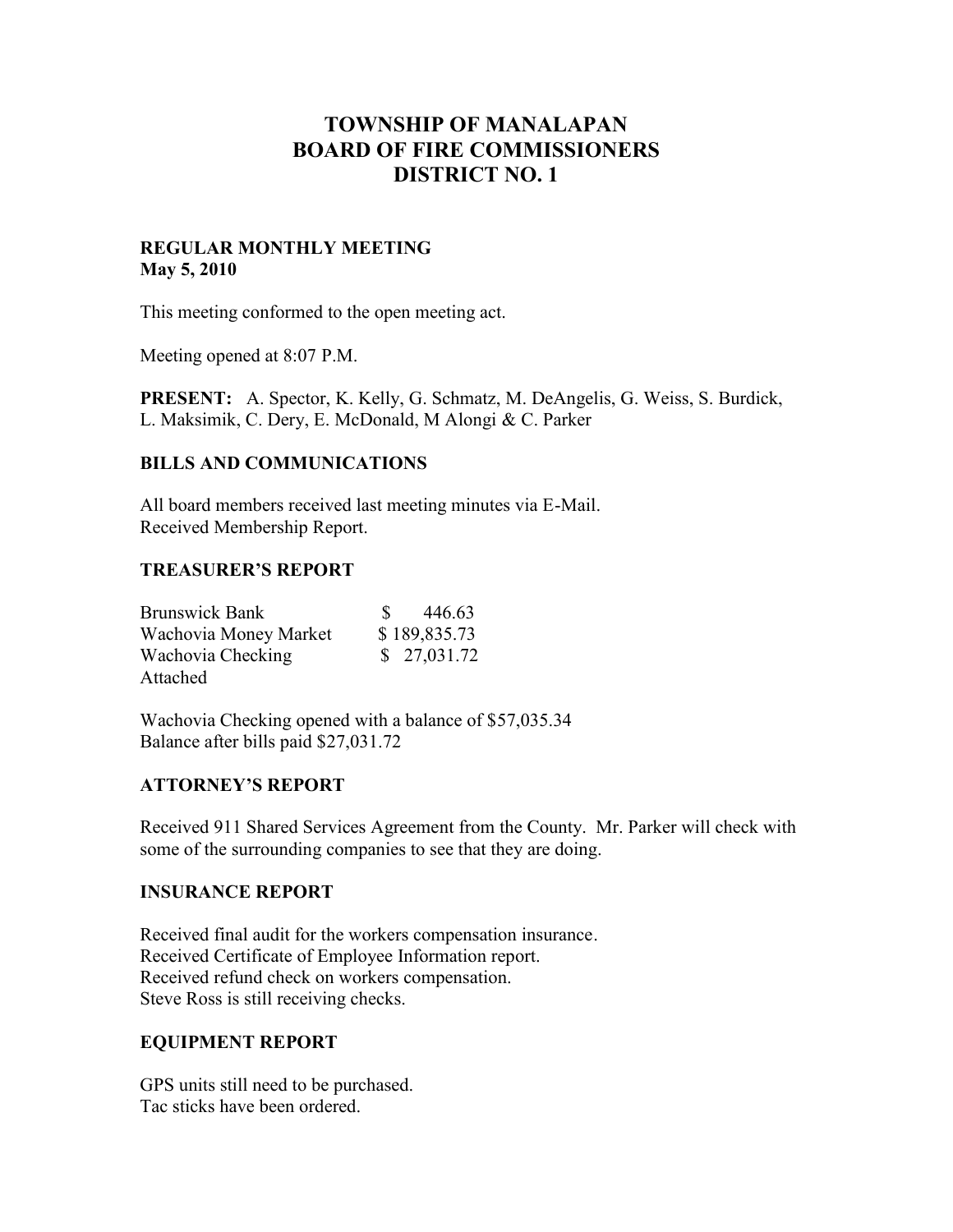# **TOWNSHIP OF MANALAPAN BOARD OF FIRE COMMISSIONERS DISTRICT NO. 1**

## **REGULAR MONTHLY MEETING May 5, 2010**

This meeting conformed to the open meeting act.

Meeting opened at 8:07 P.M.

**PRESENT:** A. Spector, K. Kelly, G. Schmatz, M. DeAngelis, G. Weiss, S. Burdick, L. Maksimik, C. Dery, E. McDonald, M Alongi & C. Parker

## **BILLS AND COMMUNICATIONS**

All board members received last meeting minutes via E-Mail. Received Membership Report.

#### **TREASURER'S REPORT**

| <b>Brunswick Bank</b> | 446.63       |
|-----------------------|--------------|
| Wachovia Money Market | \$189,835.73 |
| Wachovia Checking     | \$27,031.72  |
| Attached              |              |

Wachovia Checking opened with a balance of \$57,035.34 Balance after bills paid \$27,031.72

#### **ATTORNEY'S REPORT**

Received 911 Shared Services Agreement from the County. Mr. Parker will check with some of the surrounding companies to see that they are doing.

#### **INSURANCE REPORT**

Received final audit for the workers compensation insurance. Received Certificate of Employee Information report. Received refund check on workers compensation. Steve Ross is still receiving checks.

# **EQUIPMENT REPORT**

GPS units still need to be purchased. Tac sticks have been ordered.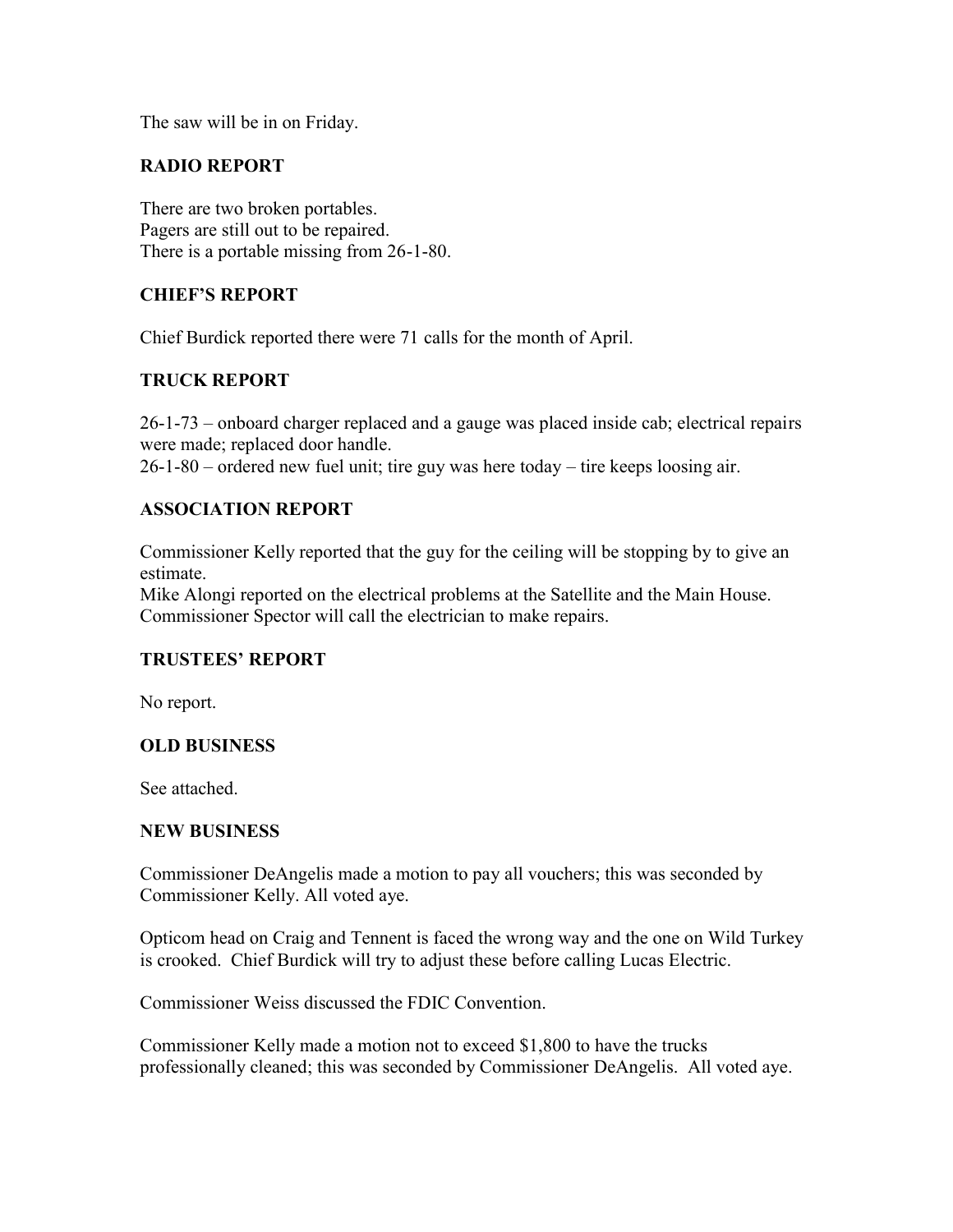The saw will be in on Friday.

# **RADIO REPORT**

There are two broken portables. Pagers are still out to be repaired. There is a portable missing from 26-1-80.

# **CHIEF'S REPORT**

Chief Burdick reported there were 71 calls for the month of April.

# **TRUCK REPORT**

26-1-73 – onboard charger replaced and a gauge was placed inside cab; electrical repairs were made; replaced door handle. 26-1-80 – ordered new fuel unit; tire guy was here today – tire keeps loosing air.

## **ASSOCIATION REPORT**

Commissioner Kelly reported that the guy for the ceiling will be stopping by to give an estimate.

Mike Alongi reported on the electrical problems at the Satellite and the Main House. Commissioner Spector will call the electrician to make repairs.

# **TRUSTEES' REPORT**

No report.

#### **OLD BUSINESS**

See attached.

#### **NEW BUSINESS**

Commissioner DeAngelis made a motion to pay all vouchers; this was seconded by Commissioner Kelly. All voted aye.

Opticom head on Craig and Tennent is faced the wrong way and the one on Wild Turkey is crooked. Chief Burdick will try to adjust these before calling Lucas Electric.

Commissioner Weiss discussed the FDIC Convention.

Commissioner Kelly made a motion not to exceed \$1,800 to have the trucks professionally cleaned; this was seconded by Commissioner DeAngelis. All voted aye.